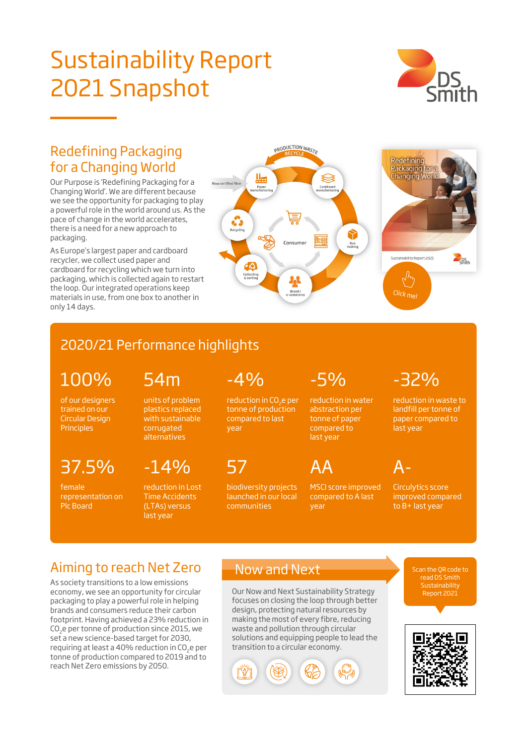# Sustainability Report 2021 Snapshot



### Redefining Packaging for a Changing World

Our Purpose is 'Redefining Packaging for a Changing World'. We are different because we see the opportunity for packaging to play a powerful role in the world around us. As the pace of change in the world accelerates, there is a need for a new approach to packaging.

As Europe's largest paper and cardboard recycler, we collect used paper and cardboard for recycling which we turn into packaging, which is collected again to restart the loop. Our integrated operations keep materials in use, from one box to another in only 14 days.



# 2020/21 Performance highlights

54m

100%

of our designers trained on our Circular Design **Principles** 

37.5%

female representation on Plc Board

units of problem plastics replaced with sustainable corrugated alternatives

 $-14%$ reduction in Lost

Time Accidents (LTAs) versus last year

 $-4%$ 

reduction in CO<sub>2</sub>e per tonne of production compared to last year

57

biodiversity projects launched in our local communities

-5%

AA

reduction in water abstraction per tonne of paper compared to last year

MSCI score improved compared to A last year

-32% reduction in waste to

landfill per tonne of paper compared to last year

A-Circulytics score improved compared to B+ last year

Aiming to reach Net Zero

As society transitions to a low emissions economy, we see an opportunity for circular packaging to play a powerful role in helping brands and consumers reduce their carbon footprint. Having achieved a 23% reduction in CO2e per tonne of production since 2015, we set a new science-based target for 2030, requiring at least a 40% reduction in CO2e per tonne of production compared to 2019 and to reach Net Zero emissions by 2050.

### Now and Next

Our Now and Next Sustainability Strategy focuses on closing the loop through better design, protecting natural resources by making the most of every fibre, reducing waste and pollution through circular solutions and equipping people to lead the transition to a circular economy.



Scan the QR code to **Sustainability** Report 2021